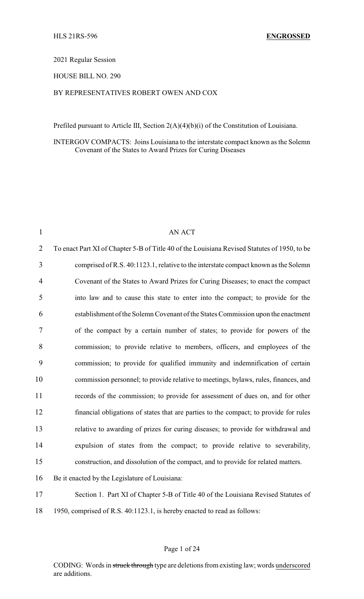2021 Regular Session

HOUSE BILL NO. 290

## BY REPRESENTATIVES ROBERT OWEN AND COX

Prefiled pursuant to Article III, Section 2(A)(4)(b)(i) of the Constitution of Louisiana.

INTERGOV COMPACTS: Joins Louisiana to the interstate compact known as the Solemn Covenant of the States to Award Prizes for Curing Diseases

| $\mathbf{1}$   | <b>AN ACT</b>                                                                                |
|----------------|----------------------------------------------------------------------------------------------|
| $\overline{2}$ | To enact Part XI of Chapter 5-B of Title 40 of the Louisiana Revised Statutes of 1950, to be |
| 3              | comprised of R.S. 40:1123.1, relative to the interstate compact known as the Solemn          |
| 4              | Covenant of the States to Award Prizes for Curing Diseases; to enact the compact             |
| 5              | into law and to cause this state to enter into the compact; to provide for the               |
| 6              | establishment of the Solemn Covenant of the States Commission upon the enactment             |
| 7              | of the compact by a certain number of states; to provide for powers of the                   |
| 8              | commission; to provide relative to members, officers, and employees of the                   |
| 9              | commission; to provide for qualified immunity and indemnification of certain                 |
| 10             | commission personnel; to provide relative to meetings, bylaws, rules, finances, and          |
| 11             | records of the commission; to provide for assessment of dues on, and for other               |
| 12             | financial obligations of states that are parties to the compact; to provide for rules        |
| 13             | relative to awarding of prizes for curing diseases; to provide for withdrawal and            |
| 14             | expulsion of states from the compact; to provide relative to severability,                   |
| 15             | construction, and dissolution of the compact, and to provide for related matters.            |
| 16             | Be it enacted by the Legislature of Louisiana:                                               |
| 17             | Section 1. Part XI of Chapter 5-B of Title 40 of the Louisiana Revised Statutes of           |
| 18             | 1950, comprised of R.S. 40:1123.1, is hereby enacted to read as follows:                     |

## Page 1 of 24

CODING: Words in struck through type are deletions from existing law; words underscored are additions.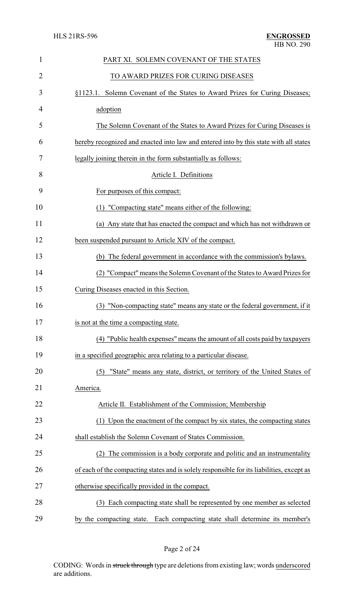| $\mathbf{1}$   | PART XI. SOLEMN COVENANT OF THE STATES                                                    |
|----------------|-------------------------------------------------------------------------------------------|
| $\overline{2}$ | TO AWARD PRIZES FOR CURING DISEASES                                                       |
| 3              | §1123.1. Solemn Covenant of the States to Award Prizes for Curing Diseases;               |
| 4              | adoption                                                                                  |
| 5              | The Solemn Covenant of the States to Award Prizes for Curing Diseases is                  |
| 6              | hereby recognized and enacted into law and entered into by this state with all states     |
| 7              | legally joining therein in the form substantially as follows:                             |
| 8              | Article I. Definitions                                                                    |
| 9              | For purposes of this compact:                                                             |
| 10             | (1) "Compacting state" means either of the following:                                     |
| 11             | (a) Any state that has enacted the compact and which has not withdrawn or                 |
| 12             | been suspended pursuant to Article XIV of the compact.                                    |
| 13             | (b) The federal government in accordance with the commission's bylaws.                    |
| 14             | (2) "Compact" means the Solemn Covenant of the States to Award Prizes for                 |
| 15             | Curing Diseases enacted in this Section.                                                  |
| 16             | (3) "Non-compacting state" means any state or the federal government, if it               |
| 17             | is not at the time a compacting state.                                                    |
| 18             | (4) "Public health expenses" means the amount of all costs paid by taxpayers              |
| 19             | in a specified geographic area relating to a particular disease.                          |
| 20             | (5) "State" means any state, district, or territory of the United States of               |
| 21             | America.                                                                                  |
| 22             | Article II. Establishment of the Commission; Membership                                   |
| 23             | (1) Upon the enactment of the compact by six states, the compacting states                |
| 24             | shall establish the Solemn Covenant of States Commission.                                 |
| 25             | (2) The commission is a body corporate and politic and an instrumentality                 |
| 26             | of each of the compacting states and is solely responsible for its liabilities, except as |
| 27             | otherwise specifically provided in the compact.                                           |
| 28             | Each compacting state shall be represented by one member as selected<br>(3)               |
| 29             | by the compacting state. Each compacting state shall determine its member's               |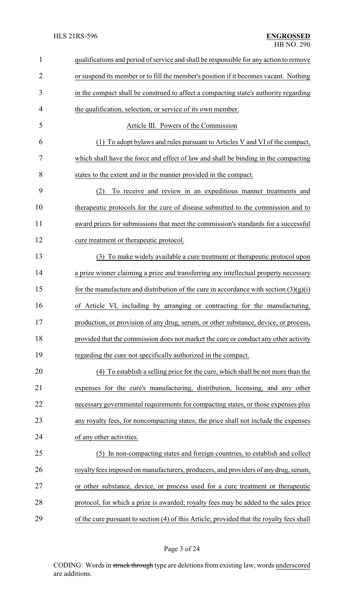| $\mathbf{1}$   | qualifications and period of service and shall be responsible for any action to remove    |
|----------------|-------------------------------------------------------------------------------------------|
| $\overline{2}$ | or suspend its member or to fill the member's position if it becomes vacant. Nothing      |
| 3              | in the compact shall be construed to affect a compacting state's authority regarding      |
| 4              | the qualification, selection, or service of its own member.                               |
| 5              | Article III. Powers of the Commission                                                     |
| 6              | (1) To adopt by laws and rules pursuant to Articles V and VI of the compact,              |
| 7              | which shall have the force and effect of law and shall be binding in the compacting       |
| 8              | states to the extent and in the manner provided in the compact.                           |
| 9              | To receive and review in an expeditious manner treatments and<br>(2)                      |
| 10             | therapeutic protocols for the cure of disease submitted to the commission and to          |
| 11             | award prizes for submissions that meet the commission's standards for a successful        |
| 12             | cure treatment or therapeutic protocol.                                                   |
| 13             | (3) To make widely available a cure treatment or therapeutic protocol upon                |
| 14             | a prize winner claiming a prize and transferring any intellectual property necessary      |
| 15             | for the manufacture and distribution of the cure in accordance with section $(3)(g)(i)$   |
| 16             | of Article VI, including by arranging or contracting for the manufacturing,               |
| 17             | production, or provision of any drug, serum, or other substance, device, or process,      |
| 18             | provided that the commission does not market the cure or conduct any other activity       |
| 19             | regarding the cure not specifically authorized in the compact.                            |
| 20             | (4) To establish a selling price for the cure, which shall be not more than the           |
| 21             | expenses for the cure's manufacturing, distribution, licensing, and any other             |
| 22             | necessary governmental requirements for compacting states, or those expenses plus         |
| 23             | any royalty fees, for noncompacting states; the price shall not include the expenses      |
| 24             | of any other activities.                                                                  |
| 25             | (5) In non-compacting states and foreign countries, to establish and collect              |
| 26             | royalty fees imposed on manufacturers, producers, and providers of any drug, serum,       |
| 27             | or other substance, device, or process used for a cure treatment or therapeutic           |
| 28             | protocol, for which a prize is awarded; royalty fees may be added to the sales price      |
| 29             | of the cure pursuant to section (4) of this Article; provided that the royalty fees shall |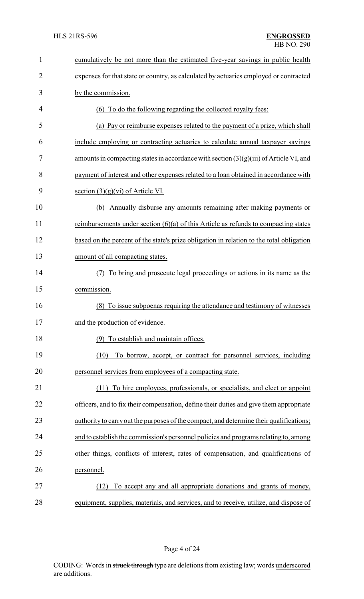| $\mathbf{1}$   | cumulatively be not more than the estimated five-year savings in public health           |
|----------------|------------------------------------------------------------------------------------------|
| $\overline{2}$ | expenses for that state or country, as calculated by actuaries employed or contracted    |
| 3              | by the commission.                                                                       |
| 4              | (6) To do the following regarding the collected royalty fees:                            |
| 5              | (a) Pay or reimburse expenses related to the payment of a prize, which shall             |
| 6              | include employing or contracting actuaries to calculate annual taxpayer savings          |
| 7              | amounts in compacting states in accordance with section $(3)(g)(iii)$ of Article VI, and |
| 8              | payment of interest and other expenses related to a loan obtained in accordance with     |
| 9              | section $(3)(g)(vi)$ of Article VI.                                                      |
| 10             | Annually disburse any amounts remaining after making payments or<br>(b)                  |
| 11             | reimbursements under section $(6)(a)$ of this Article as refunds to compacting states    |
| 12             | based on the percent of the state's prize obligation in relation to the total obligation |
| 13             | amount of all compacting states.                                                         |
| 14             | To bring and prosecute legal proceedings or actions in its name as the<br>(7)            |
| 15             | commission.                                                                              |
| 16             | (8) To issue subpoenas requiring the attendance and testimony of witnesses               |
| 17             | and the production of evidence.                                                          |
| 18             | (9) To establish and maintain offices.                                                   |
| 19             | To borrow, accept, or contract for personnel services, including<br>(10)                 |
| 20             | personnel services from employees of a compacting state.                                 |
| 21             | (11) To hire employees, professionals, or specialists, and elect or appoint              |
| 22             | officers, and to fix their compensation, define their duties and give them appropriate   |
| 23             | authority to carry out the purposes of the compact, and determine their qualifications;  |
| 24             | and to establish the commission's personnel policies and programs relating to, among     |
| 25             | other things, conflicts of interest, rates of compensation, and qualifications of        |
| 26             | personnel.                                                                               |
| 27             | To accept any and all appropriate donations and grants of money,<br>(12)                 |
| 28             | equipment, supplies, materials, and services, and to receive, utilize, and dispose of    |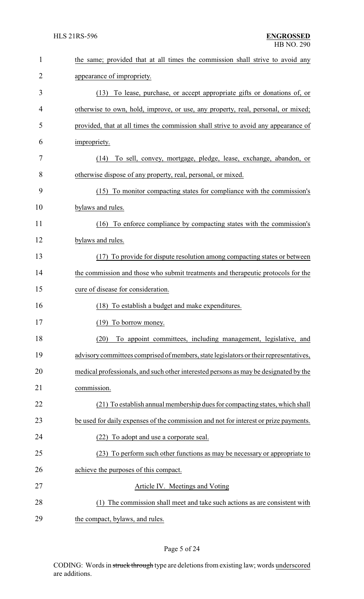| $\mathbf{1}$ | the same; provided that at all times the commission shall strive to avoid any         |
|--------------|---------------------------------------------------------------------------------------|
| 2            | appearance of impropriety.                                                            |
| 3            | To lease, purchase, or accept appropriate gifts or donations of, or<br>(13)           |
| 4            | otherwise to own, hold, improve, or use, any property, real, personal, or mixed;      |
| 5            | provided, that at all times the commission shall strive to avoid any appearance of    |
| 6            | impropriety.                                                                          |
| 7            | To sell, convey, mortgage, pledge, lease, exchange, abandon, or<br>(14)               |
| 8            | otherwise dispose of any property, real, personal, or mixed.                          |
| 9            | (15) To monitor compacting states for compliance with the commission's                |
| 10           | bylaws and rules.                                                                     |
| 11           | (16) To enforce compliance by compacting states with the commission's                 |
| 12           | bylaws and rules.                                                                     |
| 13           | (17) To provide for dispute resolution among compacting states or between             |
| 14           | the commission and those who submit treatments and therapeutic protocols for the      |
| 15           | cure of disease for consideration.                                                    |
| 16           | (18) To establish a budget and make expenditures.                                     |
| 17           | (19) To borrow money.                                                                 |
| 18           | To appoint committees, including management, legislative, and<br>(20)                 |
| 19           | advisory committees comprised of members, state legislators or their representatives, |
| 20           | medical professionals, and such other interested persons as may be designated by the  |
| 21           | commission.                                                                           |
| 22           | (21) To establish annual membership dues for compacting states, which shall           |
| 23           | be used for daily expenses of the commission and not for interest or prize payments.  |
| 24           | To adopt and use a corporate seal.                                                    |
| 25           | (23) To perform such other functions as may be necessary or appropriate to            |
| 26           | achieve the purposes of this compact.                                                 |
| 27           | Article IV. Meetings and Voting                                                       |
| 28           | The commission shall meet and take such actions as are consistent with<br>(1)         |
| 29           | the compact, bylaws, and rules.                                                       |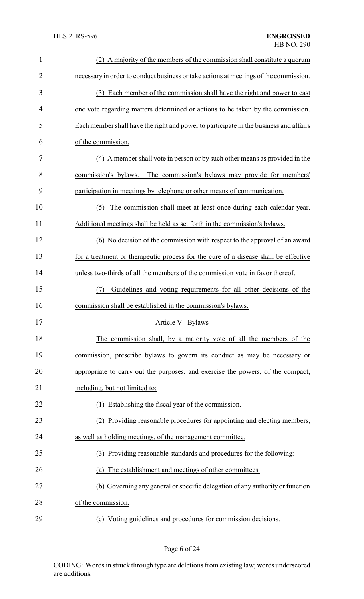| $\mathbf{1}$   | (2) A majority of the members of the commission shall constitute a quorum             |
|----------------|---------------------------------------------------------------------------------------|
| $\overline{c}$ | necessary in order to conduct business or take actions at meetings of the commission. |
| 3              | (3) Each member of the commission shall have the right and power to cast              |
| 4              | one vote regarding matters determined or actions to be taken by the commission.       |
| 5              | Each member shall have the right and power to participate in the business and affairs |
| 6              | of the commission.                                                                    |
| 7              | (4) A member shall vote in person or by such other means as provided in the           |
| 8              | commission's bylaws.<br>The commission's bylaws may provide for members'              |
| 9              | participation in meetings by telephone or other means of communication.               |
| 10             | The commission shall meet at least once during each calendar year.<br>(5)             |
| 11             | Additional meetings shall be held as set forth in the commission's bylaws.            |
| 12             | (6) No decision of the commission with respect to the approval of an award            |
| 13             | for a treatment or therapeutic process for the cure of a disease shall be effective   |
| 14             | unless two-thirds of all the members of the commission vote in favor thereof.         |
| 15             | Guidelines and voting requirements for all other decisions of the<br>(7)              |
| 16             | commission shall be established in the commission's bylaws.                           |
| 17             | Article V. Bylaws                                                                     |
| 18             | The commission shall, by a majority vote of all the members of the                    |
| 19             | commission, prescribe bylaws to govern its conduct as may be necessary or             |
| 20             | appropriate to carry out the purposes, and exercise the powers, of the compact,       |
| 21             | including, but not limited to:                                                        |
| 22             | Establishing the fiscal year of the commission.<br>(1)                                |
| 23             | (2) Providing reasonable procedures for appointing and electing members,              |
| 24             | as well as holding meetings, of the management committee.                             |
| 25             | (3) Providing reasonable standards and procedures for the following:                  |
| 26             | (a) The establishment and meetings of other committees.                               |
| 27             | (b) Governing any general or specific delegation of any authority or function         |
| 28             | of the commission.                                                                    |
| 29             | (c) Voting guidelines and procedures for commission decisions.                        |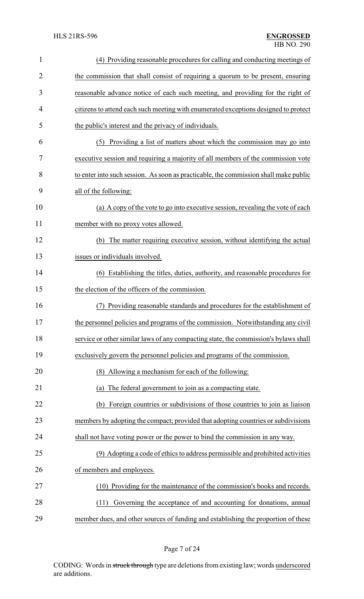| $\mathbf{1}$   | (4) Providing reasonable procedures for calling and conducting meetings of           |
|----------------|--------------------------------------------------------------------------------------|
| $\overline{2}$ | the commission that shall consist of requiring a quorum to be present, ensuring      |
| 3              | reasonable advance notice of each such meeting, and providing for the right of       |
| 4              | citizens to attend each such meeting with enumerated exceptions designed to protect  |
| 5              | the public's interest and the privacy of individuals.                                |
| 6              | Providing a list of matters about which the commission may go into<br>(5)            |
| 7              | executive session and requiring a majority of all members of the commission vote     |
| 8              | to enter into such session. As soon as practicable, the commission shall make public |
| 9              | all of the following:                                                                |
| 10             | (a) A copy of the vote to go into executive session, revealing the vote of each      |
| 11             | member with no proxy votes allowed.                                                  |
| 12             | (b) The matter requiring executive session, without identifying the actual           |
| 13             | issues or individuals involved.                                                      |
| 14             | (6) Establishing the titles, duties, authority, and reasonable procedures for        |
| 15             | the election of the officers of the commission.                                      |
| 16             | Providing reasonable standards and procedures for the establishment of               |
| 17             | the personnel policies and programs of the commission. Notwithstanding any civil     |
| 18             | service or other similar laws of any compacting state, the commission's bylaws shall |
| 19             | exclusively govern the personnel policies and programs of the commission.            |
| 20             | (8) Allowing a mechanism for each of the following:                                  |
| 21             | The federal government to join as a compacting state.<br>(a)                         |
| 22             | Foreign countries or subdivisions of those countries to join as liaison<br>(b)       |
| 23             | members by adopting the compact; provided that adopting countries or subdivisions    |
| 24             | shall not have voting power or the power to bind the commission in any way.          |
| 25             | (9) Adopting a code of ethics to address permissible and prohibited activities       |
| 26             | of members and employees.                                                            |
| 27             | (10) Providing for the maintenance of the commission's books and records.            |
| 28             | Governing the acceptance of and accounting for donations, annual<br>(11)             |
| 29             | member dues, and other sources of funding and establishing the proportion of these   |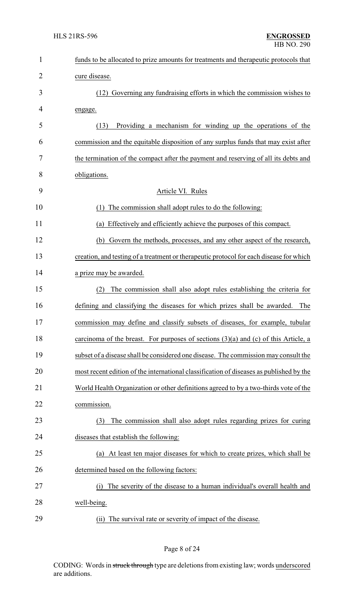| $\mathbf{1}$ | funds to be allocated to prize amounts for treatments and therapeutic protocols that    |
|--------------|-----------------------------------------------------------------------------------------|
| 2            | cure disease.                                                                           |
| 3            | (12) Governing any fundraising efforts in which the commission wishes to                |
| 4            | engage.                                                                                 |
| 5            | Providing a mechanism for winding up the operations of the<br>(13)                      |
| 6            | commission and the equitable disposition of any surplus funds that may exist after      |
| 7            | the termination of the compact after the payment and reserving of all its debts and     |
| 8            | obligations.                                                                            |
| 9            | Article VI. Rules                                                                       |
| 10           | The commission shall adopt rules to do the following:<br>(1)                            |
| 11           | Effectively and efficiently achieve the purposes of this compact.<br>(a)                |
| 12           | Govern the methods, processes, and any other aspect of the research,<br>(b)             |
| 13           | creation, and testing of a treatment or therapeutic protocol for each disease for which |
| 14           | a prize may be awarded.                                                                 |
| 15           | The commission shall also adopt rules establishing the criteria for<br>(2)              |
| 16           | defining and classifying the diseases for which prizes shall be awarded.<br>The         |
| 17           | commission may define and classify subsets of diseases, for example, tubular            |
| 18           | carcinoma of the breast. For purposes of sections $(3)(a)$ and $(c)$ of this Article, a |
| 19           | subset of a disease shall be considered one disease. The commission may consult the     |
| 20           | most recent edition of the international classification of diseases as published by the |
| 21           | World Health Organization or other definitions agreed to by a two-thirds vote of the    |
| 22           | commission.                                                                             |
| 23           | The commission shall also adopt rules regarding prizes for curing<br>(3)                |
| 24           | diseases that establish the following:                                                  |
| 25           | At least ten major diseases for which to create prizes, which shall be<br>(a)           |
| 26           | determined based on the following factors:                                              |
| 27           | The severity of the disease to a human individual's overall health and<br>(i)           |
| 28           | well-being.                                                                             |
| 29           | (ii) The survival rate or severity of impact of the disease.                            |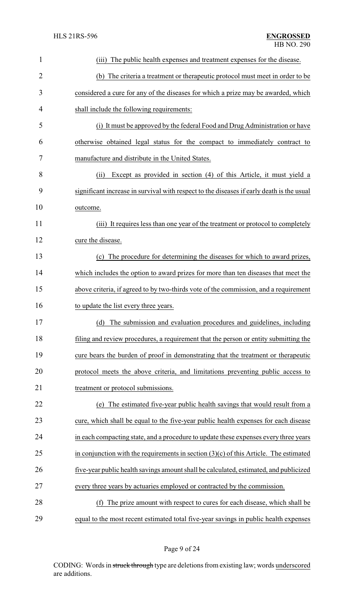| $\mathbf{1}$   | The public health expenses and treatment expenses for the disease.<br>(iii)               |
|----------------|-------------------------------------------------------------------------------------------|
| $\overline{2}$ | (b) The criteria a treatment or therapeutic protocol must meet in order to be             |
| 3              | considered a cure for any of the diseases for which a prize may be awarded, which         |
| 4              | shall include the following requirements:                                                 |
| 5              | (i) It must be approved by the federal Food and Drug Administration or have               |
| 6              | otherwise obtained legal status for the compact to immediately contract to                |
| 7              | manufacture and distribute in the United States.                                          |
| 8              | Except as provided in section (4) of this Article, it must yield a<br>(ii)                |
| 9              | significant increase in survival with respect to the diseases if early death is the usual |
| 10             | outcome.                                                                                  |
| 11             | (iii) It requires less than one year of the treatment or protocol to completely           |
| 12             | cure the disease.                                                                         |
| 13             | (c) The procedure for determining the diseases for which to award prizes,                 |
| 14             | which includes the option to award prizes for more than ten diseases that meet the        |
| 15             | above criteria, if agreed to by two-thirds vote of the commission, and a requirement      |
| 16             | to update the list every three years.                                                     |
| 17             | (d) The submission and evaluation procedures and guidelines, including                    |
| 18             | filing and review procedures, a requirement that the person or entity submitting the      |
| 19             | cure bears the burden of proof in demonstrating that the treatment or therapeutic         |
| 20             | protocol meets the above criteria, and limitations preventing public access to            |
| 21             | treatment or protocol submissions.                                                        |
| 22             | (e) The estimated five-year public health savings that would result from a                |
| 23             | cure, which shall be equal to the five-year public health expenses for each disease       |
| 24             | in each compacting state, and a procedure to update these expenses every three years      |
| 25             | in conjunction with the requirements in section $(3)(c)$ of this Article. The estimated   |
| 26             | five-year public health savings amount shall be calculated, estimated, and publicized     |
| 27             | every three years by actuaries employed or contracted by the commission.                  |
| 28             | The prize amount with respect to cures for each disease, which shall be<br>(f)            |
| 29             | equal to the most recent estimated total five-year savings in public health expenses      |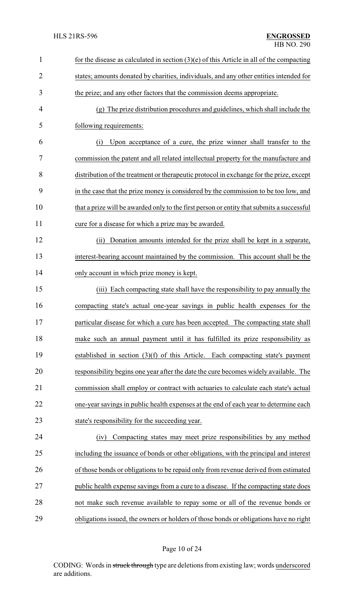| 1              | for the disease as calculated in section $(3)(e)$ of this Article in all of the compacting |
|----------------|--------------------------------------------------------------------------------------------|
| $\overline{2}$ | states; amounts donated by charities, individuals, and any other entities intended for     |
| 3              | the prize; and any other factors that the commission deems appropriate.                    |
| $\overline{4}$ | (g) The prize distribution procedures and guidelines, which shall include the              |
| 5              | following requirements:                                                                    |
| 6              | Upon acceptance of a cure, the prize winner shall transfer to the<br>(i)                   |
| 7              | commission the patent and all related intellectual property for the manufacture and        |
| 8              | distribution of the treatment or therapeutic protocol in exchange for the prize, except    |
| 9              | in the case that the prize money is considered by the commission to be too low, and        |
| 10             | that a prize will be awarded only to the first person or entity that submits a successful  |
| 11             | cure for a disease for which a prize may be awarded.                                       |
| 12             | Donation amounts intended for the prize shall be kept in a separate,<br>(ii)               |
| 13             | interest-bearing account maintained by the commission. This account shall be the           |
| 14             | only account in which prize money is kept.                                                 |
| 15             | (iii) Each compacting state shall have the responsibility to pay annually the              |
| 16             | compacting state's actual one-year savings in public health expenses for the               |
| 17             | particular disease for which a cure has been accepted. The compacting state shall          |
| 18             | make such an annual payment until it has fulfilled its prize responsibility as             |
| 19             | established in section (3)(f) of this Article. Each compacting state's payment             |
| 20             | responsibility begins one year after the date the cure becomes widely available. The       |
| 21             | commission shall employ or contract with actuaries to calculate each state's actual        |
| 22             | one-year savings in public health expenses at the end of each year to determine each       |
| 23             | state's responsibility for the succeeding year.                                            |
| 24             | Compacting states may meet prize responsibilities by any method<br>(iv)                    |
| 25             | including the issuance of bonds or other obligations, with the principal and interest      |
| 26             | of those bonds or obligations to be repaid only from revenue derived from estimated        |
| 27             | public health expense savings from a cure to a disease. If the compacting state does       |
| 28             | not make such revenue available to repay some or all of the revenue bonds or               |
| 29             | obligations issued, the owners or holders of those bonds or obligations have no right      |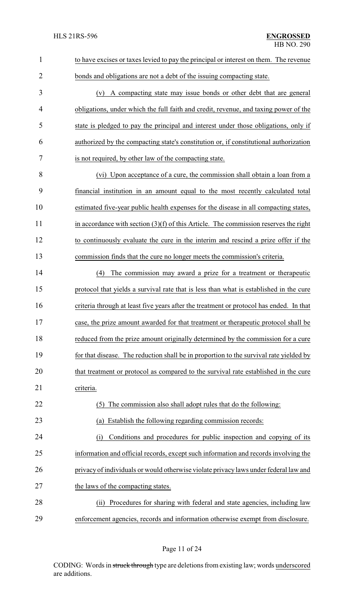| $\mathbf{1}$   | to have excises or taxes levied to pay the principal or interest on them. The revenue   |
|----------------|-----------------------------------------------------------------------------------------|
| $\overline{2}$ | bonds and obligations are not a debt of the issuing compacting state.                   |
| 3              | (v) A compacting state may issue bonds or other debt that are general                   |
| 4              | obligations, under which the full faith and credit, revenue, and taxing power of the    |
| 5              | state is pledged to pay the principal and interest under those obligations, only if     |
| 6              | authorized by the compacting state's constitution or, if constitutional authorization   |
| 7              | is not required, by other law of the compacting state.                                  |
| 8              | (vi) Upon acceptance of a cure, the commission shall obtain a loan from a               |
| 9              | financial institution in an amount equal to the most recently calculated total          |
| 10             | estimated five-year public health expenses for the disease in all compacting states,    |
| 11             | in accordance with section $(3)(f)$ of this Article. The commission reserves the right  |
| 12             | to continuously evaluate the cure in the interim and rescind a prize offer if the       |
| 13             | commission finds that the cure no longer meets the commission's criteria.               |
| 14             | The commission may award a prize for a treatment or therapeutic<br>(4)                  |
| 15             | protocol that yields a survival rate that is less than what is established in the cure  |
| 16             | criteria through at least five years after the treatment or protocol has ended. In that |
| 17             | case, the prize amount awarded for that treatment or therapeutic protocol shall be      |
| 18             | reduced from the prize amount originally determined by the commission for a cure        |
| 19             | for that disease. The reduction shall be in proportion to the survival rate yielded by  |
| 20             | that treatment or protocol as compared to the survival rate established in the cure     |
| 21             | criteria.                                                                               |
| 22             | The commission also shall adopt rules that do the following:<br>(5)                     |
| 23             | (a) Establish the following regarding commission records:                               |
| 24             | Conditions and procedures for public inspection and copying of its<br>(i)               |
| 25             | information and official records, except such information and records involving the     |
| 26             | privacy of individuals or would otherwise violate privacy laws under federal law and    |
| 27             | the laws of the compacting states.                                                      |
| 28             | Procedures for sharing with federal and state agencies, including law<br>(ii)           |
| 29             | enforcement agencies, records and information otherwise exempt from disclosure.         |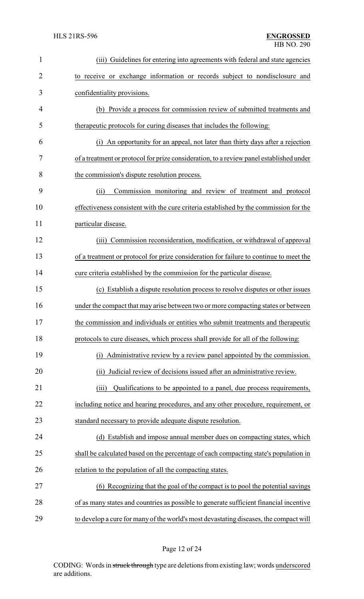| $\mathbf{1}$   | (iii) Guidelines for entering into agreements with federal and state agencies           |
|----------------|-----------------------------------------------------------------------------------------|
| $\overline{2}$ | to receive or exchange information or records subject to nondisclosure and              |
| 3              | confidentiality provisions.                                                             |
| 4              | (b) Provide a process for commission review of submitted treatments and                 |
| 5              | therapeutic protocols for curing diseases that includes the following:                  |
| 6              | An opportunity for an appeal, not later than thirty days after a rejection<br>(i)       |
| 7              | of a treatment or protocol for prize consideration, to a review panel established under |
| 8              | the commission's dispute resolution process.                                            |
| 9              | Commission monitoring and review of treatment and protocol<br>(ii)                      |
| 10             | effectiveness consistent with the cure criteria established by the commission for the   |
| 11             | particular disease.                                                                     |
| 12             | (iii) Commission reconsideration, modification, or withdrawal of approval               |
| 13             | of a treatment or protocol for prize consideration for failure to continue to meet the  |
| 14             | cure criteria established by the commission for the particular disease.                 |
| 15             | (c) Establish a dispute resolution process to resolve disputes or other issues          |
| 16             | under the compact that may arise between two or more compacting states or between       |
| 17             | the commission and individuals or entities who submit treatments and therapeutic        |
| 18             | protocols to cure diseases, which process shall provide for all of the following:       |
| 19             | Administrative review by a review panel appointed by the commission.<br>(i)             |
| 20             | Judicial review of decisions issued after an administrative review.<br>(ii)             |
| 21             | Qualifications to be appointed to a panel, due process requirements,<br>(iii)           |
| 22             | including notice and hearing procedures, and any other procedure, requirement, or       |
| 23             | standard necessary to provide adequate dispute resolution.                              |
| 24             | (d) Establish and impose annual member dues on compacting states, which                 |
| 25             | shall be calculated based on the percentage of each compacting state's population in    |
| 26             | relation to the population of all the compacting states.                                |
| 27             | (6) Recognizing that the goal of the compact is to pool the potential savings           |
| 28             | of as many states and countries as possible to generate sufficient financial incentive  |
| 29             | to develop a cure for many of the world's most devastating diseases, the compact will   |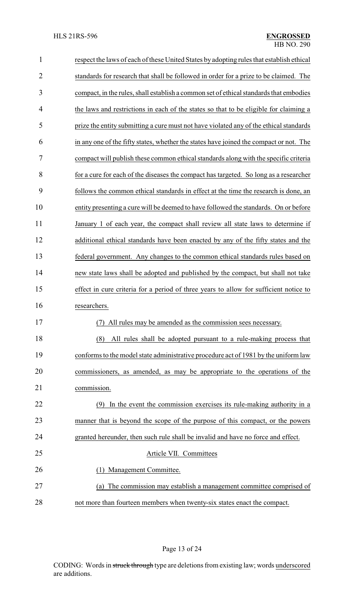| $\mathbf{1}$   | respect the laws of each of these United States by adopting rules that establish ethical |  |
|----------------|------------------------------------------------------------------------------------------|--|
| $\overline{2}$ | standards for research that shall be followed in order for a prize to be claimed. The    |  |
| 3              | compact, in the rules, shall establish a common set of ethical standards that embodies   |  |
| 4              | the laws and restrictions in each of the states so that to be eligible for claiming a    |  |
| 5              | prize the entity submitting a cure must not have violated any of the ethical standards   |  |
| 6              | in any one of the fifty states, whether the states have joined the compact or not. The   |  |
| 7              | compact will publish these common ethical standards along with the specific criteria     |  |
| 8              | for a cure for each of the diseases the compact has targeted. So long as a researcher    |  |
| 9              | follows the common ethical standards in effect at the time the research is done, an      |  |
| 10             | entity presenting a cure will be deemed to have followed the standards. On or before     |  |
| 11             | January 1 of each year, the compact shall review all state laws to determine if          |  |
| 12             | additional ethical standards have been enacted by any of the fifty states and the        |  |
| 13             | federal government. Any changes to the common ethical standards rules based on           |  |
| 14             | new state laws shall be adopted and published by the compact, but shall not take         |  |
| 15             | effect in cure criteria for a period of three years to allow for sufficient notice to    |  |
| 16             | researchers.                                                                             |  |
| 17             | All rules may be amended as the commission sees necessary.                               |  |
| 18             | All rules shall be adopted pursuant to a rule-making process that<br>(8)                 |  |
| 19             | conforms to the model state administrative procedure act of 1981 by the uniform law      |  |
| 20             | commissioners, as amended, as may be appropriate to the operations of the                |  |
| 21             | commission.                                                                              |  |
| 22             | In the event the commission exercises its rule-making authority in a<br>(9)              |  |
| 23             | manner that is beyond the scope of the purpose of this compact, or the powers            |  |
| 24             | granted hereunder, then such rule shall be invalid and have no force and effect.         |  |
| 25             | Article VII. Committees                                                                  |  |
| 26             | Management Committee.                                                                    |  |
| 27             | The commission may establish a management committee comprised of<br>(a)                  |  |
| 28             | not more than fourteen members when twenty-six states enact the compact.                 |  |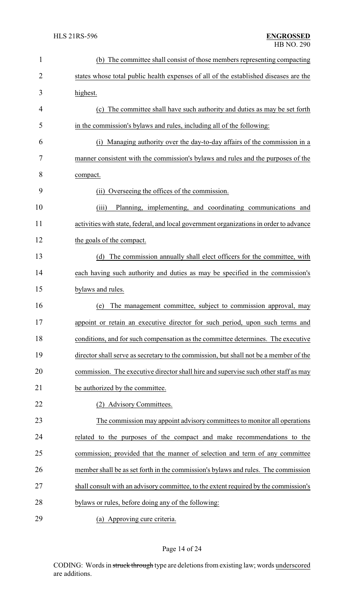| $\mathbf{1}$   | (b) The committee shall consist of those members representing compacting               |  |  |
|----------------|----------------------------------------------------------------------------------------|--|--|
| $\overline{2}$ | states whose total public health expenses of all of the established diseases are the   |  |  |
| 3              | highest.                                                                               |  |  |
| 4              | (c) The committee shall have such authority and duties as may be set forth             |  |  |
| 5              | in the commission's bylaws and rules, including all of the following:                  |  |  |
| 6              | Managing authority over the day-to-day affairs of the commission in a<br>(i)           |  |  |
| 7              | manner consistent with the commission's bylaws and rules and the purposes of the       |  |  |
| 8              | compact.                                                                               |  |  |
| 9              | (ii) Overseeing the offices of the commission.                                         |  |  |
| 10             | (iii)<br>Planning, implementing, and coordinating communications and                   |  |  |
| 11             | activities with state, federal, and local government organizations in order to advance |  |  |
| 12             | the goals of the compact.                                                              |  |  |
| 13             | (d) The commission annually shall elect officers for the committee, with               |  |  |
| 14             | each having such authority and duties as may be specified in the commission's          |  |  |
| 15             | bylaws and rules.                                                                      |  |  |
| 16             | The management committee, subject to commission approval, may<br>(e)                   |  |  |
| 17             | appoint or retain an executive director for such period, upon such terms and           |  |  |
| 18             | conditions, and for such compensation as the committee determines. The executive       |  |  |
| 19             | director shall serve as secretary to the commission, but shall not be a member of the  |  |  |
| 20             | commission. The executive director shall hire and supervise such other staff as may    |  |  |
| 21             | be authorized by the committee.                                                        |  |  |
| 22             | (2) Advisory Committees.                                                               |  |  |
| 23             | The commission may appoint advisory committees to monitor all operations               |  |  |
| 24             | related to the purposes of the compact and make recommendations to the                 |  |  |
| 25             | commission; provided that the manner of selection and term of any committee            |  |  |
| 26             | member shall be as set forth in the commission's bylaws and rules. The commission      |  |  |
| 27             | shall consult with an advisory committee, to the extent required by the commission's   |  |  |
| 28             | bylaws or rules, before doing any of the following:                                    |  |  |
| 29             | (a) Approving cure criteria.                                                           |  |  |

## Page 14 of 24

CODING: Words in struck through type are deletions from existing law; words underscored are additions.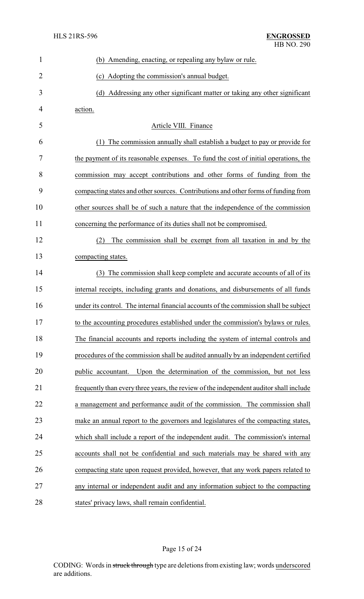| $\mathbf{1}$   | (b) Amending, enacting, or repealing any bylaw or rule.                                |
|----------------|----------------------------------------------------------------------------------------|
| $\overline{2}$ | (c) Adopting the commission's annual budget.                                           |
| 3              | (d) Addressing any other significant matter or taking any other significant            |
| 4              | action.                                                                                |
| 5              | Article VIII. Finance                                                                  |
| 6              | The commission annually shall establish a budget to pay or provide for                 |
| 7              | the payment of its reasonable expenses. To fund the cost of initial operations, the    |
| 8              | commission may accept contributions and other forms of funding from the                |
| 9              | compacting states and other sources. Contributions and other forms of funding from     |
| 10             | other sources shall be of such a nature that the independence of the commission        |
| 11             | concerning the performance of its duties shall not be compromised.                     |
| 12             | The commission shall be exempt from all taxation in and by the<br>(2)                  |
| 13             | compacting states.                                                                     |
| 14             | (3) The commission shall keep complete and accurate accounts of all of its             |
| 15             | internal receipts, including grants and donations, and disbursements of all funds      |
| 16             | under its control. The internal financial accounts of the commission shall be subject  |
| 17             | to the accounting procedures established under the commission's bylaws or rules.       |
| 18             | The financial accounts and reports including the system of internal controls and       |
| 19             | procedures of the commission shall be audited annually by an independent certified     |
| 20             | Upon the determination of the commission, but not less<br>public accountant.           |
| 21             | frequently than every three years, the review of the independent auditor shall include |
| 22             | a management and performance audit of the commission. The commission shall             |
| 23             | make an annual report to the governors and legislatures of the compacting states,      |
| 24             | which shall include a report of the independent audit. The commission's internal       |
| 25             | accounts shall not be confidential and such materials may be shared with any           |
| 26             | compacting state upon request provided, however, that any work papers related to       |
| 27             | any internal or independent audit and any information subject to the compacting        |
| 28             | states' privacy laws, shall remain confidential.                                       |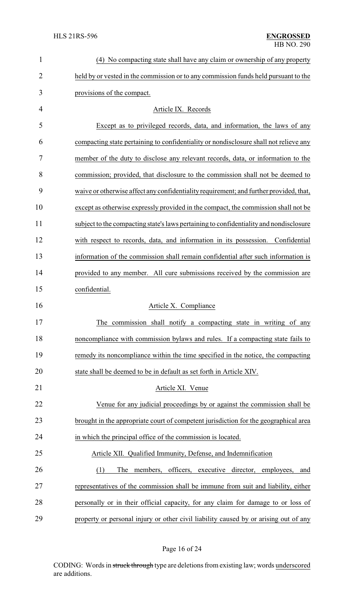| $\mathbf{1}$   | (4) No compacting state shall have any claim or ownership of any property              |  |  |
|----------------|----------------------------------------------------------------------------------------|--|--|
| $\overline{2}$ | held by or vested in the commission or to any commission funds held pursuant to the    |  |  |
| 3              | provisions of the compact.                                                             |  |  |
| 4              | Article IX. Records                                                                    |  |  |
| 5              | Except as to privileged records, data, and information, the laws of any                |  |  |
| 6              | compacting state pertaining to confidentiality or nondisclosure shall not relieve any  |  |  |
| 7              | member of the duty to disclose any relevant records, data, or information to the       |  |  |
| 8              | commission; provided, that disclosure to the commission shall not be deemed to         |  |  |
| 9              | waive or otherwise affect any confidentiality requirement; and further provided, that, |  |  |
| 10             | except as otherwise expressly provided in the compact, the commission shall not be     |  |  |
| 11             | subject to the compacting state's laws pertaining to confidentiality and nondisclosure |  |  |
| 12             | with respect to records, data, and information in its possession. Confidential         |  |  |
| 13             | information of the commission shall remain confidential after such information is      |  |  |
| 14             | provided to any member. All cure submissions received by the commission are            |  |  |
| 15             | confidential.                                                                          |  |  |
| 16             | Article X. Compliance                                                                  |  |  |
| 17             | The commission shall notify a compacting state in writing of any                       |  |  |
| 18             | noncompliance with commission bylaws and rules. If a compacting state fails to         |  |  |
| 19             | remedy its noncompliance within the time specified in the notice, the compacting       |  |  |
| 20             | state shall be deemed to be in default as set forth in Article XIV.                    |  |  |
| 21             | Article XI. Venue                                                                      |  |  |
| 22             | Venue for any judicial proceedings by or against the commission shall be               |  |  |
| 23             | brought in the appropriate court of competent jurisdiction for the geographical area   |  |  |
| 24             | in which the principal office of the commission is located.                            |  |  |
| 25             | Article XII. Qualified Immunity, Defense, and Indemnification                          |  |  |
| 26             | executive director, employees,<br>(1)<br>members,<br>officers,<br>The<br>and           |  |  |
| 27             | representatives of the commission shall be immune from suit and liability, either      |  |  |
| 28             | personally or in their official capacity, for any claim for damage to or loss of       |  |  |
| 29             | property or personal injury or other civil liability caused by or arising out of any   |  |  |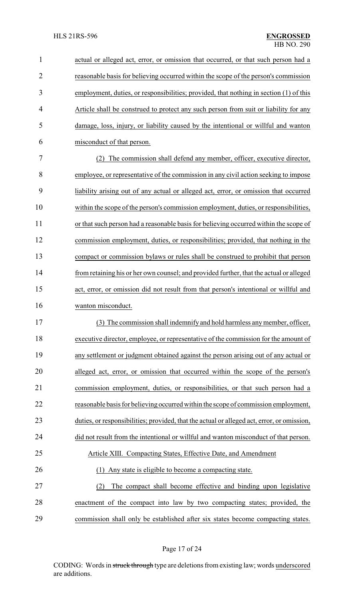| $\mathbf{1}$   | actual or alleged act, error, or omission that occurred, or that such person had a         |  |
|----------------|--------------------------------------------------------------------------------------------|--|
| $\overline{2}$ | reasonable basis for believing occurred within the scope of the person's commission        |  |
| 3              | employment, duties, or responsibilities; provided, that nothing in section (1) of this     |  |
| 4              | Article shall be construed to protect any such person from suit or liability for any       |  |
| 5              | damage, loss, injury, or liability caused by the intentional or willful and wanton         |  |
| 6              | misconduct of that person.                                                                 |  |
| 7              | (2) The commission shall defend any member, officer, executive director,                   |  |
| 8              | employee, or representative of the commission in any civil action seeking to impose        |  |
| 9              | liability arising out of any actual or alleged act, error, or omission that occurred       |  |
| 10             | within the scope of the person's commission employment, duties, or responsibilities,       |  |
| 11             | or that such person had a reasonable basis for believing occurred within the scope of      |  |
| 12             | commission employment, duties, or responsibilities; provided, that nothing in the          |  |
| 13             | compact or commission bylaws or rules shall be construed to prohibit that person           |  |
| 14             | from retaining his or her own counsel; and provided further, that the actual or alleged    |  |
| 15             | act, error, or omission did not result from that person's intentional or willful and       |  |
| 16             | wanton misconduct.                                                                         |  |
| 17             | The commission shall indemnify and hold harmless any member, officer,                      |  |
| 18             | executive director, employee, or representative of the commission for the amount of        |  |
| 19             | any settlement or judgment obtained against the person arising out of any actual or        |  |
| 20             | alleged act, error, or omission that occurred within the scope of the person's             |  |
| 21             | commission employment, duties, or responsibilities, or that such person had a              |  |
| 22             | reasonable basis for believing occurred within the scope of commission employment,         |  |
| 23             | duties, or responsibilities; provided, that the actual or alleged act, error, or omission, |  |
| 24             | did not result from the intentional or willful and wanton misconduct of that person.       |  |
| 25             | Article XIII. Compacting States, Effective Date, and Amendment                             |  |
| 26             | Any state is eligible to become a compacting state.<br>(1)                                 |  |
| 27             | The compact shall become effective and binding upon legislative<br>(2)                     |  |
| 28             | enactment of the compact into law by two compacting states; provided, the                  |  |
| 29             | commission shall only be established after six states become compacting states.            |  |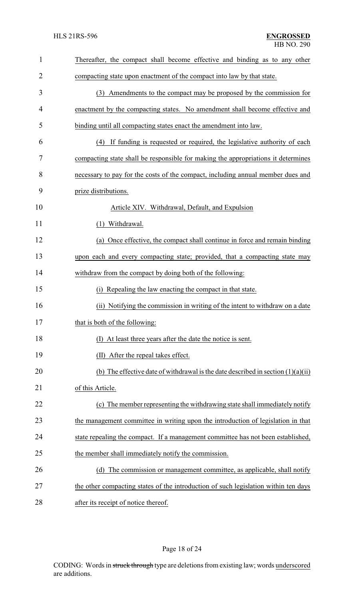| $\mathbf{1}$ | Thereafter, the compact shall become effective and binding as to any other          |  |
|--------------|-------------------------------------------------------------------------------------|--|
| 2            | compacting state upon enactment of the compact into law by that state.              |  |
| 3            | (3) Amendments to the compact may be proposed by the commission for                 |  |
| 4            | enactment by the compacting states. No amendment shall become effective and         |  |
| 5            | binding until all compacting states enact the amendment into law.                   |  |
| 6            | If funding is requested or required, the legislative authority of each<br>(4)       |  |
| 7            | compacting state shall be responsible for making the appropriations it determines   |  |
| 8            | necessary to pay for the costs of the compact, including annual member dues and     |  |
| 9            | prize distributions.                                                                |  |
| 10           | Article XIV. Withdrawal, Default, and Expulsion                                     |  |
| 11           | Withdrawal.<br>(1)                                                                  |  |
| 12           | (a) Once effective, the compact shall continue in force and remain binding          |  |
| 13           | upon each and every compacting state; provided, that a compacting state may         |  |
| 14           | withdraw from the compact by doing both of the following:                           |  |
| 15           | Repealing the law enacting the compact in that state.<br>(i)                        |  |
| 16           | (ii) Notifying the commission in writing of the intent to withdraw on a date        |  |
| 17           | that is both of the following:                                                      |  |
| 18           | (I) At least three years after the date the notice is sent.                         |  |
| 19           | (II) After the repeal takes effect.                                                 |  |
| 20           | (b) The effective date of withdrawal is the date described in section $(1)(a)(ii)$  |  |
| 21           | of this Article.                                                                    |  |
| 22           | (c) The member representing the withdrawing state shall immediately notify          |  |
| 23           | the management committee in writing upon the introduction of legislation in that    |  |
| 24           | state repealing the compact. If a management committee has not been established,    |  |
| 25           | the member shall immediately notify the commission.                                 |  |
| 26           | The commission or management committee, as applicable, shall notify<br>(d)          |  |
| 27           | the other compacting states of the introduction of such legislation within ten days |  |
| 28           | after its receipt of notice thereof.                                                |  |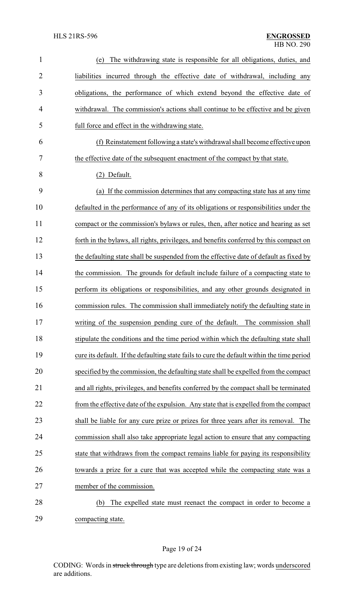| $\mathbf{1}$   | The withdrawing state is responsible for all obligations, duties, and<br>(e)               |  |
|----------------|--------------------------------------------------------------------------------------------|--|
| $\overline{2}$ | liabilities incurred through the effective date of withdrawal, including any               |  |
| 3              | obligations, the performance of which extend beyond the effective date of                  |  |
| 4              | withdrawal. The commission's actions shall continue to be effective and be given           |  |
| 5              | full force and effect in the withdrawing state.                                            |  |
| 6              | (f) Reinstatement following a state's withdrawal shall become effective upon               |  |
| 7              | the effective date of the subsequent enactment of the compact by that state.               |  |
| 8              | (2) Default.                                                                               |  |
| 9              | (a) If the commission determines that any compacting state has at any time                 |  |
| 10             | defaulted in the performance of any of its obligations or responsibilities under the       |  |
| 11             | compact or the commission's bylaws or rules, then, after notice and hearing as set         |  |
| 12             | forth in the bylaws, all rights, privileges, and benefits conferred by this compact on     |  |
| 13             | the defaulting state shall be suspended from the effective date of default as fixed by     |  |
| 14             | the commission. The grounds for default include failure of a compacting state to           |  |
| 15             | perform its obligations or responsibilities, and any other grounds designated in           |  |
| 16             | commission rules. The commission shall immediately notify the defaulting state in          |  |
| 17             | writing of the suspension pending cure of the default. The commission shall                |  |
| 18             | stipulate the conditions and the time period within which the defaulting state shall       |  |
| 19             | cure its default. If the defaulting state fails to cure the default within the time period |  |
| 20             | specified by the commission, the defaulting state shall be expelled from the compact       |  |
| 21             | and all rights, privileges, and benefits conferred by the compact shall be terminated      |  |
| 22             | from the effective date of the expulsion. Any state that is expelled from the compact      |  |
| 23             | shall be liable for any cure prize or prizes for three years after its removal. The        |  |
| 24             | commission shall also take appropriate legal action to ensure that any compacting          |  |
| 25             | state that withdraws from the compact remains liable for paying its responsibility         |  |
| 26             | towards a prize for a cure that was accepted while the compacting state was a              |  |
| 27             | member of the commission.                                                                  |  |
| 28             | The expelled state must reenact the compact in order to become a<br>(b)                    |  |
| 29             | compacting state.                                                                          |  |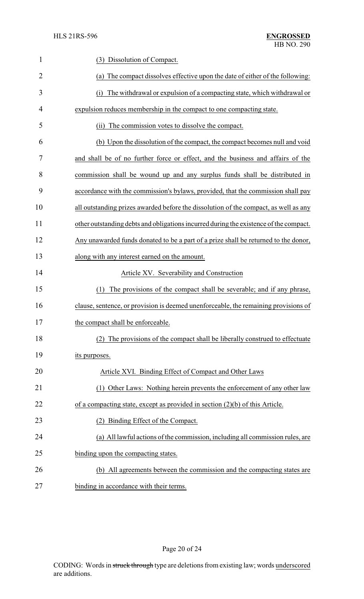| $\mathbf{1}$   | Dissolution of Compact.<br>(3)                                                        |  |
|----------------|---------------------------------------------------------------------------------------|--|
| $\overline{2}$ | (a) The compact dissolves effective upon the date of either of the following:         |  |
| 3              | The withdrawal or expulsion of a compacting state, which withdrawal or<br>(i)         |  |
| 4              | expulsion reduces membership in the compact to one compacting state.                  |  |
| 5              | The commission votes to dissolve the compact.<br>(i)                                  |  |
| 6              | (b) Upon the dissolution of the compact, the compact becomes null and void            |  |
| 7              | and shall be of no further force or effect, and the business and affairs of the       |  |
| 8              | commission shall be wound up and any surplus funds shall be distributed in            |  |
| 9              | accordance with the commission's bylaws, provided, that the commission shall pay      |  |
| 10             | all outstanding prizes awarded before the dissolution of the compact, as well as any  |  |
| 11             | other outstanding debts and obligations incurred during the existence of the compact. |  |
| 12             | Any unawarded funds donated to be a part of a prize shall be returned to the donor,   |  |
| 13             | along with any interest earned on the amount.                                         |  |
| 14             | Article XV. Severability and Construction                                             |  |
| 15             | The provisions of the compact shall be severable; and if any phrase,<br>(1)           |  |
| 16             | clause, sentence, or provision is deemed unenforceable, the remaining provisions of   |  |
| 17             | the compact shall be enforceable                                                      |  |
| 18             | (2) The provisions of the compact shall be liberally construed to effectuate          |  |
| 19             | its purposes.                                                                         |  |
| 20             | Article XVI. Binding Effect of Compact and Other Laws                                 |  |
| 21             | Other Laws: Nothing herein prevents the enforcement of any other law<br>(1)           |  |
| 22             | of a compacting state, except as provided in section $(2)(b)$ of this Article.        |  |
| 23             | (2) Binding Effect of the Compact.                                                    |  |
| 24             | (a) All lawful actions of the commission, including all commission rules, are         |  |
| 25             | binding upon the compacting states.                                                   |  |
| 26             | (b) All agreements between the commission and the compacting states are               |  |
| 27             | binding in accordance with their terms.                                               |  |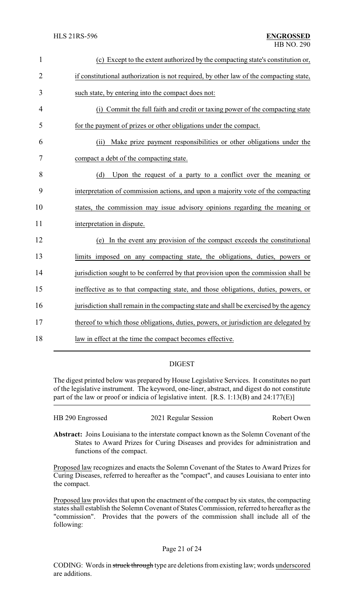| $\mathbf{1}$   | (c) Except to the extent authorized by the compacting state's constitution or,         |
|----------------|----------------------------------------------------------------------------------------|
| $\overline{2}$ | if constitutional authorization is not required, by other law of the compacting state, |
| 3              | such state, by entering into the compact does not:                                     |
| 4              | (i) Commit the full faith and credit or taxing power of the compacting state           |
| 5              | for the payment of prizes or other obligations under the compact.                      |
| 6              | Make prize payment responsibilities or other obligations under the<br>(ii)             |
| 7              | compact a debt of the compacting state.                                                |
| 8              | Upon the request of a party to a conflict over the meaning or<br>(d)                   |
| 9              | interpretation of commission actions, and upon a majority vote of the compacting       |
| 10             | states, the commission may issue advisory opinions regarding the meaning or            |
| 11             | interpretation in dispute.                                                             |
| 12             | (e) In the event any provision of the compact exceeds the constitutional               |
| 13             | limits imposed on any compacting state, the obligations, duties, powers or             |
| 14             | jurisdiction sought to be conferred by that provision upon the commission shall be     |
| 15             | ineffective as to that compacting state, and those obligations, duties, powers, or     |
| 16             | jurisdiction shall remain in the compacting state and shall be exercised by the agency |
| 17             | thereof to which those obligations, duties, powers, or jurisdiction are delegated by   |
| 18             | law in effect at the time the compact becomes effective.                               |

## DIGEST

The digest printed below was prepared by House Legislative Services. It constitutes no part of the legislative instrument. The keyword, one-liner, abstract, and digest do not constitute part of the law or proof or indicia of legislative intent. [R.S. 1:13(B) and 24:177(E)]

| HB 290 Engrossed | 2021 Regular Session | Robert Owen |
|------------------|----------------------|-------------|
|------------------|----------------------|-------------|

**Abstract:** Joins Louisiana to the interstate compact known as the Solemn Covenant of the States to Award Prizes for Curing Diseases and provides for administration and functions of the compact.

Proposed law recognizes and enacts the Solemn Covenant of the States to Award Prizes for Curing Diseases, referred to hereafter as the "compact", and causes Louisiana to enter into the compact.

Proposed law provides that upon the enactment of the compact by six states, the compacting states shall establish the Solemn Covenant of States Commission, referred to hereafter as the "commission". Provides that the powers of the commission shall include all of the following: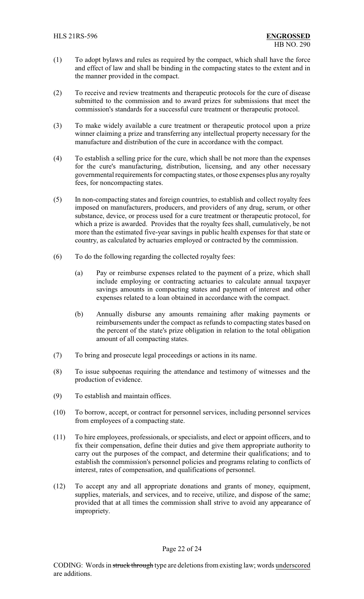- (1) To adopt bylaws and rules as required by the compact, which shall have the force and effect of law and shall be binding in the compacting states to the extent and in the manner provided in the compact.
- (2) To receive and review treatments and therapeutic protocols for the cure of disease submitted to the commission and to award prizes for submissions that meet the commission's standards for a successful cure treatment or therapeutic protocol.
- (3) To make widely available a cure treatment or therapeutic protocol upon a prize winner claiming a prize and transferring any intellectual property necessary for the manufacture and distribution of the cure in accordance with the compact.
- (4) To establish a selling price for the cure, which shall be not more than the expenses for the cure's manufacturing, distribution, licensing, and any other necessary governmental requirements for compacting states, orthose expenses plus any royalty fees, for noncompacting states.
- (5) In non-compacting states and foreign countries, to establish and collect royalty fees imposed on manufacturers, producers, and providers of any drug, serum, or other substance, device, or process used for a cure treatment or therapeutic protocol, for which a prize is awarded. Provides that the royalty fees shall, cumulatively, be not more than the estimated five-year savings in public health expenses for that state or country, as calculated by actuaries employed or contracted by the commission.
- (6) To do the following regarding the collected royalty fees:
	- (a) Pay or reimburse expenses related to the payment of a prize, which shall include employing or contracting actuaries to calculate annual taxpayer savings amounts in compacting states and payment of interest and other expenses related to a loan obtained in accordance with the compact.
	- (b) Annually disburse any amounts remaining after making payments or reimbursements under the compact as refunds to compacting states based on the percent of the state's prize obligation in relation to the total obligation amount of all compacting states.
- (7) To bring and prosecute legal proceedings or actions in its name.
- (8) To issue subpoenas requiring the attendance and testimony of witnesses and the production of evidence.
- (9) To establish and maintain offices.
- (10) To borrow, accept, or contract for personnel services, including personnel services from employees of a compacting state.
- (11) To hire employees, professionals, or specialists, and elect or appoint officers, and to fix their compensation, define their duties and give them appropriate authority to carry out the purposes of the compact, and determine their qualifications; and to establish the commission's personnel policies and programs relating to conflicts of interest, rates of compensation, and qualifications of personnel.
- (12) To accept any and all appropriate donations and grants of money, equipment, supplies, materials, and services, and to receive, utilize, and dispose of the same; provided that at all times the commission shall strive to avoid any appearance of impropriety.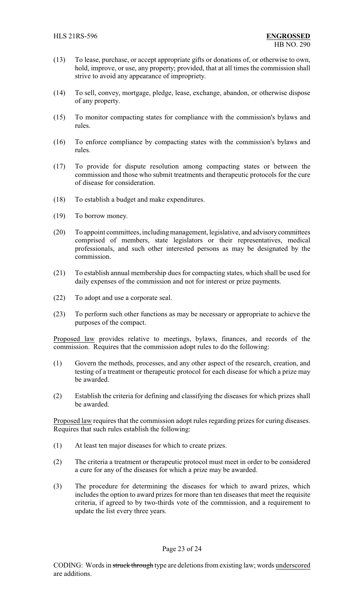- (13) To lease, purchase, or accept appropriate gifts or donations of, or otherwise to own, hold, improve, or use, any property; provided, that at all times the commission shall strive to avoid any appearance of impropriety.
- (14) To sell, convey, mortgage, pledge, lease, exchange, abandon, or otherwise dispose of any property.
- (15) To monitor compacting states for compliance with the commission's bylaws and rules.
- (16) To enforce compliance by compacting states with the commission's bylaws and rules.
- (17) To provide for dispute resolution among compacting states or between the commission and those who submit treatments and therapeutic protocols for the cure of disease for consideration.
- (18) To establish a budget and make expenditures.
- (19) To borrow money.
- (20) To appoint committees, includingmanagement, legislative, and advisorycommittees comprised of members, state legislators or their representatives, medical professionals, and such other interested persons as may be designated by the commission.
- (21) To establish annual membership dues for compacting states, which shall be used for daily expenses of the commission and not for interest or prize payments.
- (22) To adopt and use a corporate seal.
- (23) To perform such other functions as may be necessary or appropriate to achieve the purposes of the compact.

Proposed law provides relative to meetings, bylaws, finances, and records of the commission. Requires that the commission adopt rules to do the following:

- (1) Govern the methods, processes, and any other aspect of the research, creation, and testing of a treatment or therapeutic protocol for each disease for which a prize may be awarded.
- (2) Establish the criteria for defining and classifying the diseases for which prizes shall be awarded.

Proposed law requires that the commission adopt rules regarding prizes for curing diseases. Requires that such rules establish the following:

- (1) At least ten major diseases for which to create prizes.
- (2) The criteria a treatment or therapeutic protocol must meet in order to be considered a cure for any of the diseases for which a prize may be awarded.
- (3) The procedure for determining the diseases for which to award prizes, which includes the option to award prizes for more than ten diseases that meet the requisite criteria, if agreed to by two-thirds vote of the commission, and a requirement to update the list every three years.